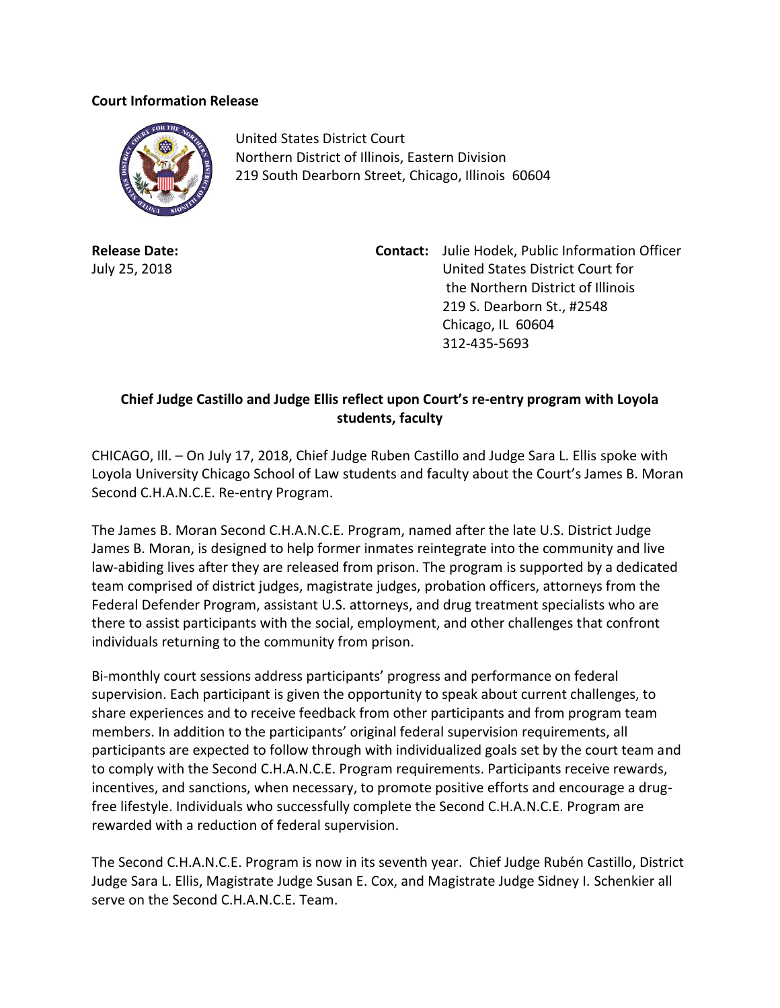## **Court Information Release**



United States District Court Northern District of Illinois, Eastern Division 219 South Dearborn Street, Chicago, Illinois 60604

**Release Date:** July 25, 2018

**Contact:** Julie Hodek, Public Information Officer United States District Court for the Northern District of Illinois 219 S. Dearborn St., #2548 Chicago, IL 60604 312-435-5693

## **Chief Judge Castillo and Judge Ellis reflect upon Court's re-entry program with Loyola students, faculty**

CHICAGO, Ill. – On July 17, 2018, Chief Judge Ruben Castillo and Judge Sara L. Ellis spoke with Loyola University Chicago School of Law students and faculty about the Court's James B. Moran Second C.H.A.N.C.E. Re-entry Program.

The James B. Moran Second C.H.A.N.C.E. Program, named after the late U.S. District Judge James B. Moran, is designed to help former inmates reintegrate into the community and live law-abiding lives after they are released from prison. The program is supported by a dedicated team comprised of district judges, magistrate judges, probation officers, attorneys from the Federal Defender Program, assistant U.S. attorneys, and drug treatment specialists who are there to assist participants with the social, employment, and other challenges that confront individuals returning to the community from prison.

Bi-monthly court sessions address participants' progress and performance on federal supervision. Each participant is given the opportunity to speak about current challenges, to share experiences and to receive feedback from other participants and from program team members. In addition to the participants' original federal supervision requirements, all participants are expected to follow through with individualized goals set by the court team and to comply with the Second C.H.A.N.C.E. Program requirements. Participants receive rewards, incentives, and sanctions, when necessary, to promote positive efforts and encourage a drugfree lifestyle. Individuals who successfully complete the Second C.H.A.N.C.E. Program are rewarded with a reduction of federal supervision.

The Second C.H.A.N.C.E. Program is now in its seventh year. Chief Judge Rubén Castillo, District Judge Sara L. Ellis, Magistrate Judge Susan E. Cox, and Magistrate Judge Sidney I. Schenkier all serve on the Second C.H.A.N.C.E. Team.